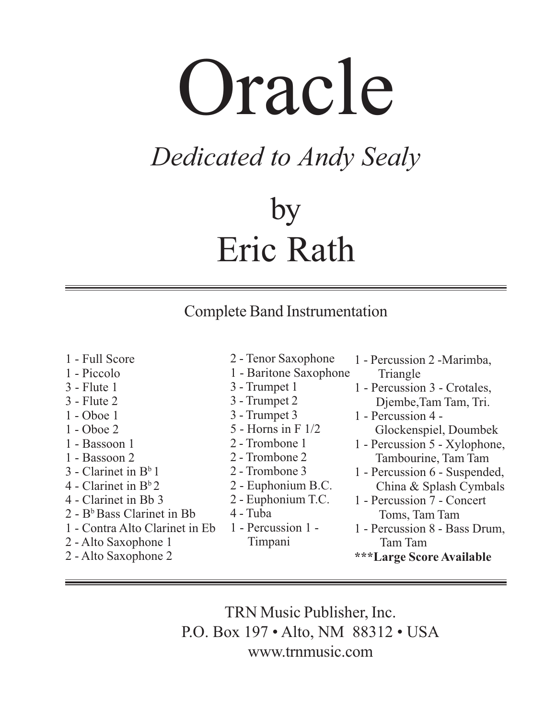# Oracle

## *Dedicated to Andy Sealy*

## by Eric Rath

#### Complete Band Instrumentation

- 1 Full Score
- 1 Piccolo
- 3 Flute 1
- 3 Flute 2
- 1 Oboe 1
- 1 Oboe 2
- 1 Bassoon 1
- 1 Bassoon 2
- $3$  Clarinet in  $B<sup>b</sup>1$
- 4 Clarinet in  $B^b 2$
- 4 Clarinet in Bb 3
- $2 B<sup>b</sup>$  Bass Clarinet in Bb
- 1 Contra Alto Clarinet in Eb
- 2 Alto Saxophone 1
- 2 Alto Saxophone 2
- 2 Tenor Saxophone
- 1 Baritone Saxophone 3 - Trumpet 1
- 
- 3 Trumpet 2
- 3 Trumpet 3
- 5 Horns in F 1/2
- 2 Trombone 1
- 2 Trombone 2
- 2 Trombone 3
- 2 Euphonium B.C.
- 2 Euphonium T.C.
- 4 Tuba
- 1 Percussion 1 Timpani
- 1 Percussion 2 -Marimba, Triangle
- 1 Percussion 3 Crotales, Djembe,Tam Tam, Tri.
- 1 Percussion 4 Glockenspiel, Doumbek
- 1 Percussion 5 Xylophone, Tambourine, Tam Tam
- 1 Percussion 6 Suspended, China & Splash Cymbals
- 1 Percussion 7 Concert Toms, Tam Tam
- 1 Percussion 8 Bass Drum, Tam Tam
- **\*\*\*Large Score Available**

TRN Music Publisher, Inc. P.O. Box 197 • Alto, NM 88312 • USA www.trnmusic.com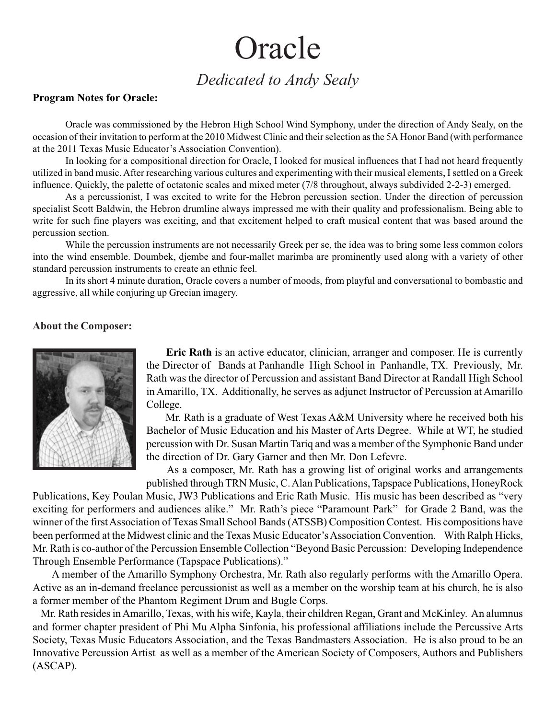## Oracle

#### *Dedicated to Andy Sealy*

### **Program Notes for Oracle:**

Oracle was commissioned by the Hebron High School Wind Symphony, under the direction of Andy Sealy, on the occasion of their invitation to perform at the 2010 Midwest Clinic and their selection as the 5A Honor Band (with performance at the 2011 Texas Music Educator's Association Convention).

In looking for a compositional direction for Oracle, I looked for musical influences that I had not heard frequently utilized in band music. After researching various cultures and experimenting with their musical elements, I settled on a Greek influence. Quickly, the palette of octatonic scales and mixed meter (7/8 throughout, always subdivided 2-2-3) emerged.

As a percussionist, I was excited to write for the Hebron percussion section. Under the direction of percussion specialist Scott Baldwin, the Hebron drumline always impressed me with their quality and professionalism. Being able to write for such fine players was exciting, and that excitement helped to craft musical content that was based around the percussion section.

While the percussion instruments are not necessarily Greek per se, the idea was to bring some less common colors into the wind ensemble. Doumbek, djembe and four-mallet marimba are prominently used along with a variety of other standard percussion instruments to create an ethnic feel.

In its short 4 minute duration, Oracle covers a number of moods, from playful and conversational to bombastic and aggressive, all while conjuring up Grecian imagery.

## **About the Composer:**



 **Eric Rath** is an active educator, clinician, arranger and composer. He is currently the Director of Bands at Panhandle High School in Panhandle, TX. Previously, Mr. Rath was the director of Percussion and assistant Band Director at Randall High School in Amarillo, TX. Additionally, he serves as adjunct Instructor of Percussion at Amarillo College.

 Mr. Rath is a graduate of West Texas A&M University where he received both his Bachelor of Music Education and his Master of Arts Degree. While at WT, he studied percussion with Dr. Susan Martin Tariq and was a member of the Symphonic Band under the direction of Dr. Gary Garner and then Mr. Don Lefevre.

 As a composer, Mr. Rath has a growing list of original works and arrangements published through TRN Music, C. Alan Publications, Tapspace Publications, HoneyRock

Publications, Key Poulan Music, JW3 Publications and Eric Rath Music. His music has been described as "very exciting for performers and audiences alike." Mr. Rath's piece "Paramount Park" for Grade 2 Band, was the winner of the first Association of Texas Small School Bands (ATSSB) Composition Contest. His compositions have been performed at the Midwest clinic and the Texas Music Educator's Association Convention. With Ralph Hicks, Mr. Rath is co-author of the Percussion Ensemble Collection "Beyond Basic Percussion: Developing Independence Through Ensemble Performance (Tapspace Publications)."

 A member of the Amarillo Symphony Orchestra, Mr. Rath also regularly performs with the Amarillo Opera. Active as an in-demand freelance percussionist as well as a member on the worship team at his church, he is also a former member of the Phantom Regiment Drum and Bugle Corps.

 Mr. Rath resides in Amarillo, Texas, with his wife, Kayla, their children Regan, Grant and McKinley. An alumnus and former chapter president of Phi Mu Alpha Sinfonia, his professional affiliations include the Percussive Arts Society, Texas Music Educators Association, and the Texas Bandmasters Association. He is also proud to be an Innovative Percussion Artist as well as a member of the American Society of Composers, Authors and Publishers (ASCAP).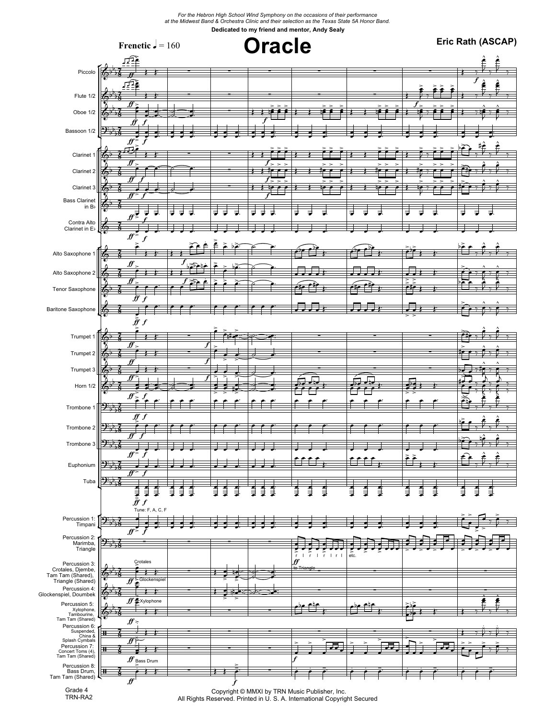*For the Hebron High School Wind Symphony on the occasions of their performance at the Midwest Band & Orchestra Clinic and their selection as the Texas State 5A Honor Band.*

**Dedicated to my friend and mentor, Andy Sealy**



All Rights Reserved. Printed in U. S. A. International Copyright Secured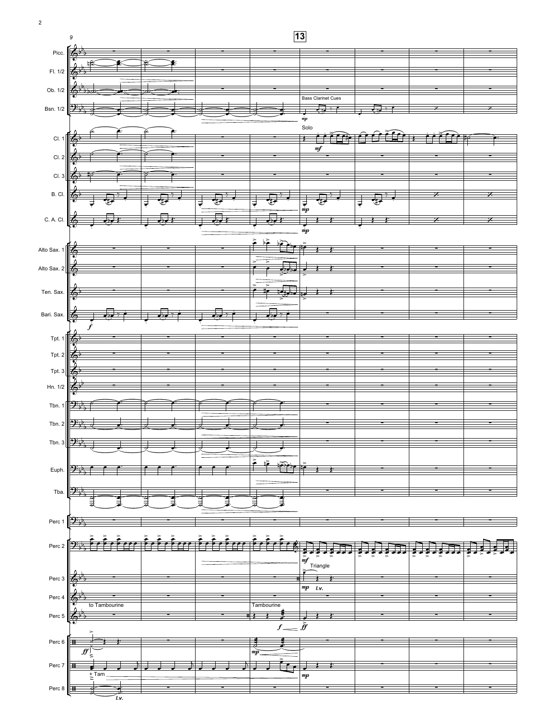

2

*<sup>9</sup>* **13**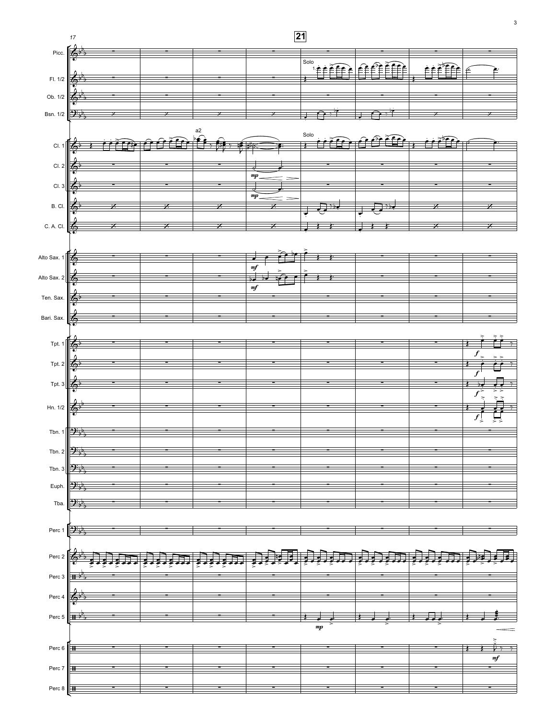